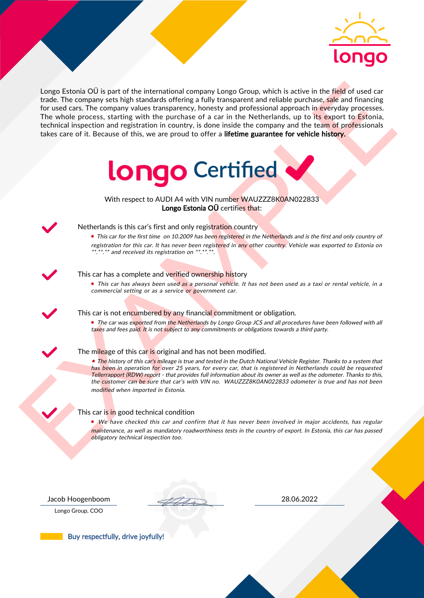

Length Entonio OI is part of the international company Length Company is the first of the field of used can<br>be the constraints with the parchase of a car in the Netherlands, up to the percentage<br>of the constraints with th Longo Estonia OÜ is part of the international company Longo Group, which is active in the field of used car trade. The company sets high standards offering a fully transparent and reliable purchase, sale and financing for used cars. The company values transparency, honesty and professional approach in everyday processes. The whole process, starting with the purchase of a car in the Netherlands, up to its export to Estonia, technical inspection and registration in country, is done inside the company and the team of professionals takes care of it. Because of this, we are proud to offer a lifetime guarantee for vehicle history.



With respect to AUDI A4 with VIN number WAUZZZ8K0AN022833 Longo Estonia OÜ certifies that:



## Netherlands is this car's first and only registration country

• This car for the first time on 10.2009 has been registered in the Netherlands and is the first and only country of registration for this car. It has never been registered in any other country. Vehicle was exported to Estonia on \*.\*\*.\*\* and received its registration on \*\*.\*\*.\*\*.

## This car has a complete and verified ownership history

• This car has always been used as a personal vehicle. It has not been used as a taxi or rental vehicle, in a commercial setting or as a service or government car.

This car is not encumbered by any financial commitment or obligation.

• The car was exported from the Netherlands by Longo Group JCS and all procedures have been followed with all taxes and fees paid. It is not subject to any commitments or obligations towards a third party.

#### The mileage of this car is original and has not been modified.

• The history of this car's mileage is true and tested in the Dutch National Vehicle Register. Thanks to a system that has been in operation for over 25 years, for every car, that is registered in Netherlands could be requested Tellerrapport (RDW) report - that provides full information about its owner as well as the odometer. Thanks to this, the customer can be sure that car's with VIN no. WAUZZZ8K0AN022833 odometer is true and has not been modified when imported in Estonia.

## This car is in good technical condition

• We have checked this car and confirm that it has never been involved in major accidents, has regular maintenance, as well as mandatory roadworthiness tests in the country of export. In Estonia, this car has passed obligatory technical inspection too.

Longo Group, COO

Jacob Hoogenboom 28.06.2022

Buy respectfully, drive joyfully!